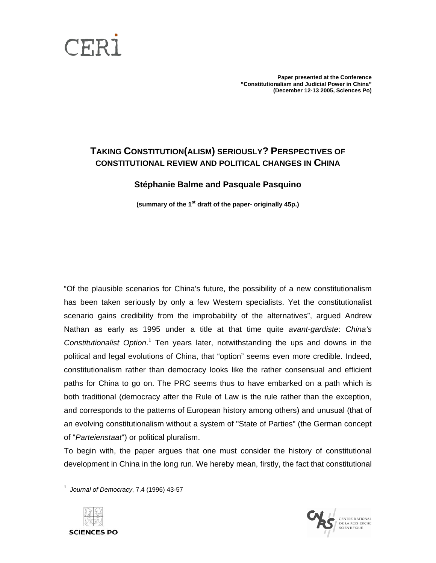

**Paper presented at the Conference "Constitutionalism and Judicial Power in China" (December 12-13 2005, Sciences Po)** 

# **TAKING CONSTITUTION(ALISM) SERIOUSLY? PERSPECTIVES OF CONSTITUTIONAL REVIEW AND POLITICAL CHANGES IN CHINA**

## **Stéphanie Balme and Pasquale Pasquino**

**(summary of the 1st draft of the paper- originally 45p.)** 

"Of the plausible scenarios for China's future, the possibility of a new constitutionalism has been taken seriously by only a few Western specialists. Yet the constitutionalist scenario gains credibility from the improbability of the alternatives", argued Andrew Nathan as early as 1995 under a title at that time quite *avant-gardiste*: *China's* Constitutionalist Option.<sup>[1](#page-0-0)</sup> Ten years later, notwithstanding the ups and downs in the political and legal evolutions of China, that "option" seems even more credible. Indeed, constitutionalism rather than democracy looks like the rather consensual and efficient paths for China to go on. The PRC seems thus to have embarked on a path which is both traditional (democracy after the Rule of Law is the rule rather than the exception, and corresponds to the patterns of European history among others) and unusual (that of an evolving constitutionalism without a system of "State of Parties" (the German concept of "*Parteienstaat*") or political pluralism.

To begin with, the paper argues that one must consider the history of constitutional development in China in the long run. We hereby mean, firstly, the fact that constitutional

<span id="page-0-0"></span><sup>1</sup> *Journal of Democracy*, 7.4 (1996) 43-57



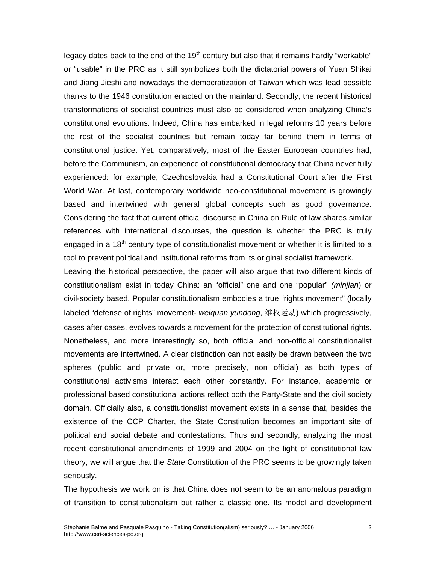legacy dates back to the end of the 19<sup>th</sup> century but also that it remains hardly "workable" or "usable" in the PRC as it still symbolizes both the dictatorial powers of Yuan Shikai and Jiang Jieshi and nowadays the democratization of Taiwan which was lead possible thanks to the 1946 constitution enacted on the mainland. Secondly, the recent historical transformations of socialist countries must also be considered when analyzing China's constitutional evolutions. Indeed, China has embarked in legal reforms 10 years before the rest of the socialist countries but remain today far behind them in terms of constitutional justice. Yet, comparatively, most of the Easter European countries had, before the Communism, an experience of constitutional democracy that China never fully experienced: for example, Czechoslovakia had a Constitutional Court after the First World War. At last, contemporary worldwide neo-constitutional movement is growingly based and intertwined with general global concepts such as good governance. Considering the fact that current official discourse in China on Rule of law shares similar references with international discourses, the question is whether the PRC is truly engaged in a 18<sup>th</sup> century type of constitutionalist movement or whether it is limited to a tool to prevent political and institutional reforms from its original socialist framework.

Leaving the historical perspective, the paper will also argue that two different kinds of constitutionalism exist in today China: an "official" one and one "popular" *(minjian*) or civil-society based. Popular constitutionalism embodies a true "rights movement" (locally labeled "defense of rights" movement- *weiquan yundong*, 维权运动) which progressively, cases after cases, evolves towards a movement for the protection of constitutional rights. Nonetheless, and more interestingly so, both official and non-official constitutionalist movements are intertwined. A clear distinction can not easily be drawn between the two spheres (public and private or, more precisely, non official) as both types of constitutional activisms interact each other constantly. For instance, academic or professional based constitutional actions reflect both the Party-State and the civil society domain. Officially also, a constitutionalist movement exists in a sense that, besides the existence of the CCP Charter, the State Constitution becomes an important site of political and social debate and contestations. Thus and secondly, analyzing the most recent constitutional amendments of 1999 and 2004 on the light of constitutional law theory, we will argue that the *State* Constitution of the PRC seems to be growingly taken seriously.

The hypothesis we work on is that China does not seem to be an anomalous paradigm of transition to constitutionalism but rather a classic one. Its model and development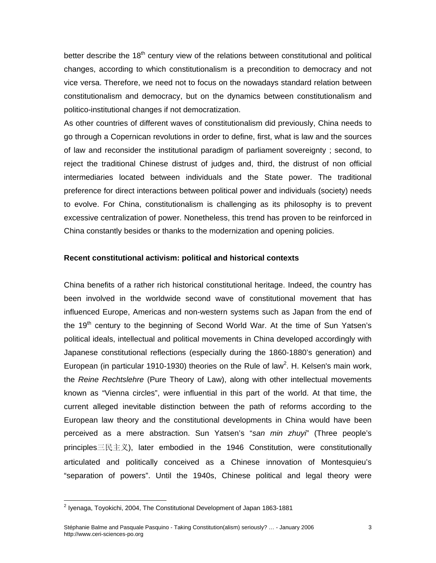better describe the 18<sup>th</sup> century view of the relations between constitutional and political changes, according to which constitutionalism is a precondition to democracy and not vice versa. Therefore, we need not to focus on the nowadays standard relation between constitutionalism and democracy, but on the dynamics between constitutionalism and politico-institutional changes if not democratization.

As other countries of different waves of constitutionalism did previously, China needs to go through a Copernican revolutions in order to define, first, what is law and the sources of law and reconsider the institutional paradigm of parliament sovereignty ; second, to reject the traditional Chinese distrust of judges and, third, the distrust of non official intermediaries located between individuals and the State power. The traditional preference for direct interactions between political power and individuals (society) needs to evolve. For China, constitutionalism is challenging as its philosophy is to prevent excessive centralization of power. Nonetheless, this trend has proven to be reinforced in China constantly besides or thanks to the modernization and opening policies.

#### **Recent constitutional activism: political and historical contexts**

China benefits of a rather rich historical constitutional heritage. Indeed, the country has been involved in the worldwide second wave of constitutional movement that has influenced Europe, Americas and non-western systems such as Japan from the end of the 19<sup>th</sup> century to the beginning of Second World War. At the time of Sun Yatsen's political ideals, intellectual and political movements in China developed accordingly with Japanese constitutional reflections (especially during the 1860-1880's generation) and European (in particular 1910-1930) theories on the Rule of law<sup>2</sup>[.](#page-2-0) H. Kelsen's main work, the *Reine Rechtslehre* (Pure Theory of Law), along with other intellectual movements known as "Vienna circles", were influential in this part of the world. At that time, the current alleged inevitable distinction between the path of reforms according to the European law theory and the constitutional developments in China would have been perceived as a mere abstraction. Sun Yatsen's "*san min zhuyi*" (Three people's principles三民主义), later embodied in the 1946 Constitution, were constitutionally articulated and politically conceived as a Chinese innovation of Montesquieu's "separation of powers". Until the 1940s, Chinese political and legal theory were

<span id="page-2-0"></span> $\overline{a}$  $^2$  [Iyenaga, Toyokichi,](http://www.gutenberg.org/catalog/world/authrec?fk_authors=4333) 2004, The Constitutional Development of Japan 1863-1881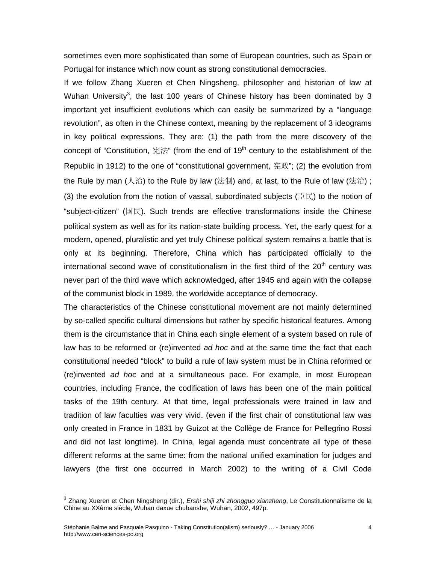sometimes even more sophisticated than some of European countries, such as Spain or Portugal for instance which now count as strong constitutional democracies.

If we follow Zhang Xueren et Chen Ningsheng, philosopher and historian of law at Wuhan University<sup>[3](#page-3-0)</sup>, the last 100 years of Chinese history has been dominated by 3 important yet insufficient evolutions which can easily be summarized by a "language revolution", as often in the Chinese context, meaning by the replacement of 3 ideograms in key political expressions. They are: (1) the path from the mere discovery of the concept of "Constitution, 宪法" (from the end of 19<sup>th</sup> century to the establishment of the Republic in 1912) to the one of "constitutional government, 宪政"; (2) the evolution from the Rule by man (人治) to the Rule by law (法制) and, at last, to the Rule of law (法治) ; (3) the evolution from the notion of vassal, subordinated subjects (臣民) to the notion of "subject-citizen" (国民). Such trends are effective transformations inside the Chinese political system as well as for its nation-state building process. Yet, the early quest for a modern, opened, pluralistic and yet truly Chinese political system remains a battle that is only at its beginning. Therefore, China which has participated officially to the international second wave of constitutionalism in the first third of the  $20<sup>th</sup>$  century was never part of the third wave which acknowledged, after 1945 and again with the collapse of the communist block in 1989, the worldwide acceptance of democracy.

The characteristics of the Chinese constitutional movement are not mainly determined by so-called specific cultural dimensions but rather by specific historical features. Among them is the circumstance that in China each single element of a system based on rule of law has to be reformed or (re)invented *ad hoc* and at the same time the fact that each constitutional needed "block" to build a rule of law system must be in China reformed or (re)invented *ad hoc* and at a simultaneous pace. For example, in most European countries, including France, the codification of laws has been one of the main political tasks of the 19th century. At that time, legal professionals were trained in law and tradition of law faculties was very vivid. (even if the first chair of constitutional law was only created in France in 1831 by Guizot at the Collège de France for Pellegrino Rossi and did not last longtime). In China, legal agenda must concentrate all type of these different reforms at the same time: from the national unified examination for judges and lawyers (the first one occurred in March 2002) to the writing of a Civil Code

<span id="page-3-0"></span><sup>3</sup> Zhang Xueren et Chen Ningsheng (dir.), *Ershi shiji zhi zhongguo xianzheng*, Le Constitutionnalisme de la Chine au XXème siècle, Wuhan daxue chubanshe, Wuhan, 2002, 497p.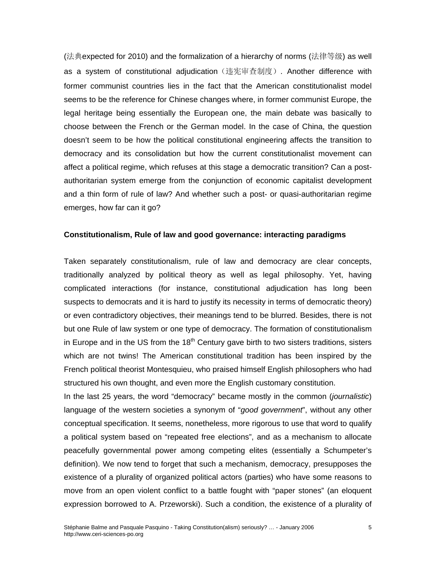(法典expected for 2010) and the formalization of a hierarchy of norms (法律等级) as well as a system of constitutional adjudication(违宪审查制度). Another difference with former communist countries lies in the fact that the American constitutionalist model seems to be the reference for Chinese changes where, in former communist Europe, the legal heritage being essentially the European one, the main debate was basically to choose between the French or the German model. In the case of China, the question doesn't seem to be how the political constitutional engineering affects the transition to democracy and its consolidation but how the current constitutionalist movement can affect a political regime, which refuses at this stage a democratic transition? Can a postauthoritarian system emerge from the conjunction of economic capitalist development and a thin form of rule of law? And whether such a post- or quasi-authoritarian regime emerges, how far can it go?

#### **Constitutionalism, Rule of law and good governance: interacting paradigms**

Taken separately constitutionalism, rule of law and democracy are clear concepts, traditionally analyzed by political theory as well as legal philosophy. Yet, having complicated interactions (for instance, constitutional adjudication has long been suspects to democrats and it is hard to justify its necessity in terms of democratic theory) or even contradictory objectives, their meanings tend to be blurred. Besides, there is not but one Rule of law system or one type of democracy. The formation of constitutionalism in Europe and in the US from the  $18<sup>th</sup>$  Century gave birth to two sisters traditions, sisters which are not twins! The American constitutional tradition has been inspired by the French political theorist Montesquieu, who praised himself English philosophers who had structured his own thought, and even more the English customary constitution.

In the last 25 years, the word "democracy" became mostly in the common (*journalistic*) language of the western societies a synonym of "*good government*", without any other conceptual specification. It seems, nonetheless, more rigorous to use that word to qualify a political system based on "repeated free elections", and as a mechanism to allocate peacefully governmental power among competing elites (essentially a Schumpeter's definition). We now tend to forget that such a mechanism, democracy, presupposes the existence of a plurality of organized political actors (parties) who have some reasons to move from an open violent conflict to a battle fought with "paper stones" (an eloquent expression borrowed to A. Przeworski). Such a condition, the existence of a plurality of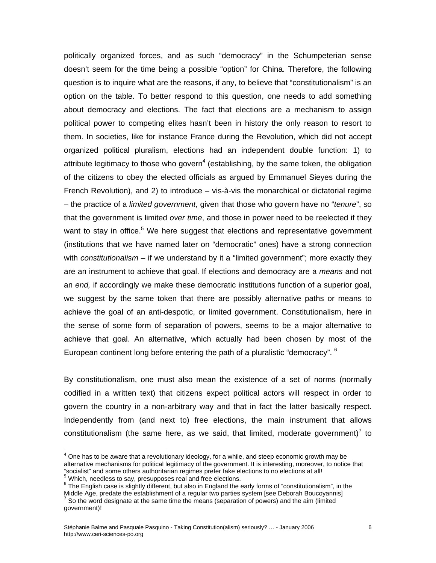politically organized forces, and as such "democracy" in the Schumpeterian sense doesn't seem for the time being a possible "option" for China. Therefore, the following question is to inquire what are the reasons, if any, to believe that "constitutionalism" is an option on the table. To better respond to this question, one needs to add something about democracy and elections. The fact that elections are a mechanism to assign political power to competing elites hasn't been in history the only reason to resort to them. In societies, like for instance France during the Revolution, which did not accept organized political pluralism, elections had an independent double function: 1) to attribute legitimacy to those who govern<sup>[4](#page-5-0)</sup> (establishing, by the same token, the obligation of the citizens to obey the elected officials as argued by Emmanuel Sieyes during the French Revolution), and 2) to introduce – vis-à-vis the monarchical or dictatorial regime – the practice of a *limited government*, given that those who govern have no "*tenure*", so that the government is limited *over time*, and those in power need to be reelected if they want to stay in office.<sup>5</sup> We here suggest that elections and representative government (institutions that we have named later on "democratic" ones) have a strong connection with *constitutionalism* – if we understand by it a "limited government"; more exactly they are an instrument to achieve that goal. If elections and democracy are a *means* and not an *end,* if accordingly we make these democratic institutions function of a superior goal, we suggest by the same token that there are possibly alternative paths or means to achieve the goal of an anti-despotic, or limited government. Constitutionalism, here in the sense of some form of separation of powers, seems to be a major alternative to achieve that goal. An alternative, which actually had been chosen by most of the Europeancontinent long before entering the path of a pluralistic "democracy". <sup>6</sup>

By constitutionalism, one must also mean the existence of a set of norms (normally codified in a written text) that citizens expect political actors will respect in order to govern the country in a non-arbitrary way and that in fact the latter basically respect. Independently from (and next to) free elections, the main instrument that allows constitutionalism (the same here, as we said, that limited, moderate government)<sup>[7](#page-5-3)</sup> to

 $\overline{\phantom{a}}$ 

<span id="page-5-0"></span> $<sup>4</sup>$  One has to be aware that a revolutionary ideology, for a while, and steep economic growth may be</sup> alternative mechanisms for political legitimacy of the government. It is interesting, moreover, to notice that "socialist" and some others authoritarian regimes prefer fake elections to no elections at all!<br><sup>5</sup> Which, needless to say, presupposes real and free elections.

<span id="page-5-2"></span><span id="page-5-1"></span> $6$  The English case is slightly different, but also in England the early forms of "constitutionalism", in the

<span id="page-5-3"></span>Middle Age, predate the establishment of a regular two parties system [see Deborah Boucoyannis]<br><sup>7</sup> So the word designate at the same time the means (separation of powers) and the aim (limited government)!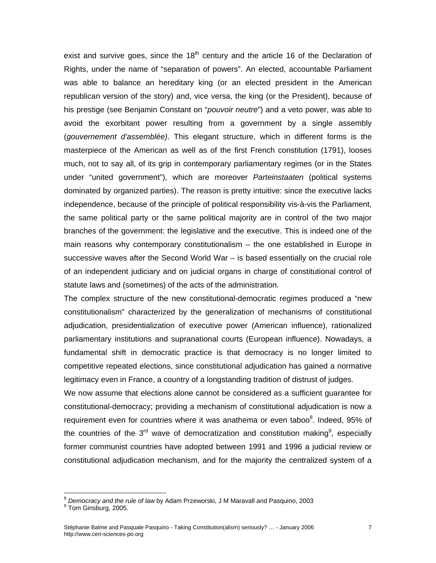exist and survive goes, since the  $18<sup>th</sup>$  century and the article 16 of the Declaration of Rights, under the name of "separation of powers". An elected, accountable Parliament was able to balance an hereditary king (or an elected president in the American republican version of the story) and, vice versa, the king (or the President), because of his prestige (see Benjamin Constant on "*pouvoir neutre*") and a veto power, was able to avoid the exorbitant power resulting from a government by a single assembly (*gouvernement d'assemblée)*. This elegant structure, which in different forms is the masterpiece of the American as well as of the first French constitution (1791), looses much, not to say all, of its grip in contemporary parliamentary regimes (or in the States under "united government"), which are moreover *Parteinstaaten* (political systems dominated by organized parties). The reason is pretty intuitive: since the executive lacks independence, because of the principle of political responsibility vis-à-vis the Parliament, the same political party or the same political majority are in control of the two major branches of the government: the legislative and the executive. This is indeed one of the main reasons why contemporary constitutionalism – the one established in Europe in successive waves after the Second World War – is based essentially on the crucial role of an independent judiciary and on judicial organs in charge of constitutional control of statute laws and (sometimes) of the acts of the administration.

The complex structure of the new constitutional-democratic regimes produced a "new constitutionalism" characterized by the generalization of mechanisms of constitutional adjudication, presidentialization of executive power (American influence), rationalized parliamentary institutions and supranational courts (European influence). Nowadays, a fundamental shift in democratic practice is that democracy is no longer limited to competitive repeated elections, since constitutional adjudication has gained a normative legitimacy even in France, a country of a longstanding tradition of distrust of judges.

We now assume that elections alone cannot be considered as a sufficient guarantee for constitutional-democracy; providing a mechanism of constitutional adjudication is now a requirement even for countries where it was anathema or even taboo<sup>8</sup>[.](#page-6-0) Indeed, 95% of the countries of the  $3^{\text{rd}}$  wave of democratization and constitution making<sup>[9](#page-6-1)</sup>, especially former communist countries have adopted between 1991 and 1996 a judicial review or constitutional adjudication mechanism, and for the majority the centralized system of a

<span id="page-6-0"></span><sup>&</sup>lt;sup>8</sup> Democracy and the rule of law by Adam Przeworski, J M Maravall and Pasquino, 2003<br><sup>9</sup> Tom Ginsburg, 2005.

<span id="page-6-1"></span>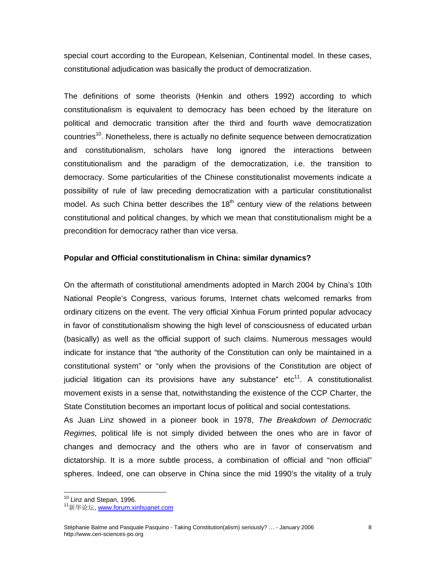special court according to the European, Kelsenian, Continental model. In these cases, constitutional adjudication was basically the product of democratization.

The definitions of some theorists (Henkin and others 1992) according to which constitutionalism is equivalent to democracy has been echoed by the literature on political and democratic transition after the third and fourth wave democratization countries<sup>10</sup>. Nonetheless, there is actually no definite sequence between democratization and constitutionalism, scholars have long ignored the interactions between constitutionalism and the paradigm of the democratization, i.e. the transition to democracy. Some particularities of the Chinese constitutionalist movements indicate a possibility of rule of law preceding democratization with a particular constitutionalist model. As such China better describes the  $18<sup>th</sup>$  century view of the relations between constitutional and political changes, by which we mean that constitutionalism might be a precondition for democracy rather than vice versa.

#### **Popular and Official constitutionalism in China: similar dynamics?**

On the aftermath of constitutional amendments adopted in March 2004 by China's 10th National People's Congress, various forums, Internet chats welcomed remarks from ordinary citizens on the event. The very official Xinhua Forum printed popular advocacy in favor of constitutionalism showing the high level of consciousness of educated urban (basically) as well as the official support of such claims. Numerous messages would indicate for instance that "the authority of the Constitution can only be maintained in a constitutional system" or "only when the provisions of the Constitution are object of judicial litigation can its provisions have any substance"  $etc<sup>11</sup>$ . A constitutionalist movement exists in a sense that, notwithstanding the existence of the CCP Charter, the State Constitution becomes an important locus of political and social contestations.

As Juan Linz showed in a pioneer book in 1978, *The Breakdown of Democratic Regimes,* political life is not simply divided between the ones who are in favor of changes and democracy and the others who are in favor of conservatism and dictatorship. It is a more subtle process, a combination of official and "non official" spheres. Indeed, one can observe in China since the mid 1990's the vitality of a truly

<span id="page-7-0"></span><sup>&</sup>lt;sup>10</sup> Linz and Stepan, 1996.

<span id="page-7-1"></span><sup>&</sup>lt;sup>11</sup>新华论坛, www.forum.xinhuanet.com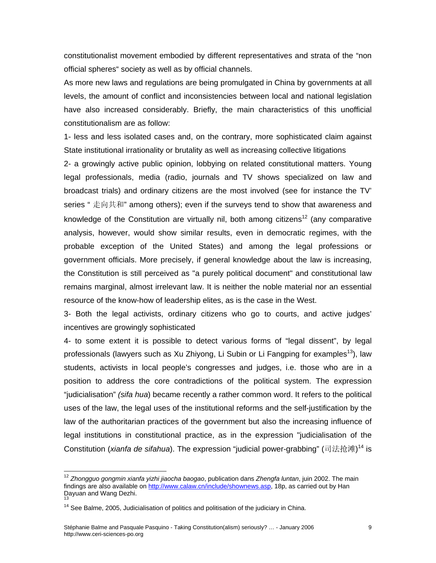constitutionalist movement embodied by different representatives and strata of the "non official spheres" society as well as by official channels.

As more new laws and regulations are being promulgated in China by governments at all levels, the amount of conflict and inconsistencies between local and national legislation have also increased considerably. Briefly, the main characteristics of this unofficial constitutionalism are as follow:

1- less and less isolated cases and, on the contrary, more sophisticated claim against State institutional irrationality or brutality as well as increasing collective litigations

2- a growingly active public opinion, lobbying on related constitutional matters. Young legal professionals, media (radio, journals and TV shows specialized on law and broadcast trials) and ordinary citizens are the most involved (see for instance the TV' series " 走向共和" among others); even if the surveys tend to show that awareness and knowledge of the Constitution are virtually nil, both among citizens<sup>12</sup> (any comparative analysis, however, would show similar results, even in democratic regimes, with the probable exception of the United States) and among the legal professions or government officials. More precisely, if general knowledge about the law is increasing, the Constitution is still perceived as "a purely political document" and constitutional law remains marginal, almost irrelevant law. It is neither the noble material nor an essential resource of the know-how of leadership elites, as is the case in the West.

3- Both the legal activists, ordinary citizens who go to courts, and active judges' incentives are growingly sophisticated

4- to some extent it is possible to detect various forms of "legal dissent", by legal professionals (lawyers such as Xu Zhiyong, Li Subin or Li Fangping for examples<sup>13</sup>), law students, activists in local people's congresses and judges, i.e. those who are in a position to address the core contradictions of the political system. The expression "judicialisation" *(sifa hua*) became recently a rather common word. It refers to the political uses of the law, the legal uses of the institutional reforms and the self-justification by the law of the authoritarian practices of the government but also the increasing influence of legal institutions in constitutional practice, as in the expression "judicialisation of the Constitution (*xianfa de sifahua*). The expression "judicial power-grabbing" (司法抢滩) [14](#page-8-2) is

<span id="page-8-0"></span><sup>12</sup> *Zhongguo gongmin xianfa yizhi jiaocha baogao*, publication dans *Zhengfa luntan*, juin 2002. The main findings are also available on <http://www.calaw.cn/include/shownews.asp>, 18p, as carried out by Han Dayuan and Wang Dezhi.<br><sup>13</sup> See Balme, 2005, Judicialisation of politics and politisation of the judiciary in China.

<span id="page-8-2"></span><span id="page-8-1"></span>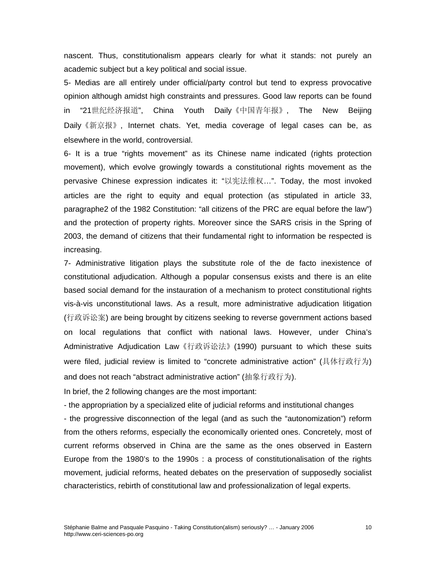nascent. Thus, constitutionalism appears clearly for what it stands: not purely an academic subject but a key political and social issue.

5- Medias are all entirely under official/party control but tend to express provocative opinion although amidst high constraints and pressures. Good law reports can be found in "21世纪经济报道", China Youth Daily《中国青年报》, The New Beijing Daily《新京报》, Internet chats. Yet, media coverage of legal cases can be, as elsewhere in the world, controversial.

6- It is a true "rights movement" as its Chinese name indicated (rights protection movement), which evolve growingly towards a constitutional rights movement as the pervasive Chinese expression indicates it: "以宪法维权…". Today, the most invoked articles are the right to equity and equal protection (as stipulated in article 33, paragraphe2 of the 1982 Constitution: "all citizens of the PRC are equal before the law") and the protection of property rights. Moreover since the SARS crisis in the Spring of 2003, the demand of citizens that their fundamental right to information be respected is increasing.

7- Administrative litigation plays the substitute role of the de facto inexistence of constitutional adjudication. Although a popular consensus exists and there is an elite based social demand for the instauration of a mechanism to protect constitutional rights vis-à-vis unconstitutional laws. As a result, more administrative adjudication litigation (行政诉讼案) are being brought by citizens seeking to reverse government actions based on local regulations that conflict with national laws. However, under China's Administrative Adjudication Law《行政诉讼法》(1990) pursuant to which these suits were filed, judicial review is limited to "concrete administrative action" (具体行政行为) and does not reach "abstract administrative action" (抽象行政行为).

In brief, the 2 following changes are the most important:

- the appropriation by a specialized elite of judicial reforms and institutional changes

- the progressive disconnection of the legal (and as such the "autonomization") reform from the others reforms, especially the economically oriented ones. Concretely, most of current reforms observed in China are the same as the ones observed in Eastern Europe from the 1980's to the 1990s : a process of constitutionalisation of the rights movement, judicial reforms, heated debates on the preservation of supposedly socialist characteristics, rebirth of constitutional law and professionalization of legal experts.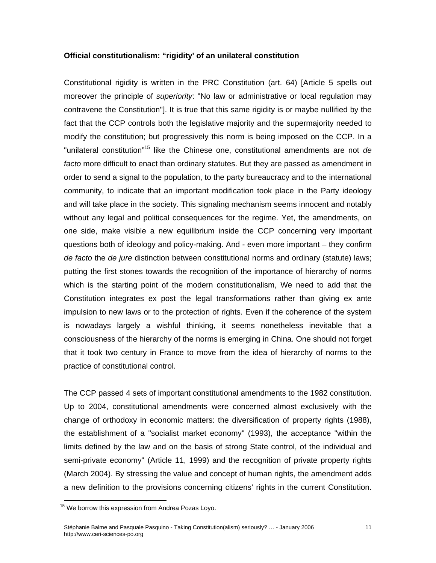#### **Official constitutionalism: "rigidity' of an unilateral constitution**

Constitutional rigidity is written in the PRC Constitution (art. 64) [Article 5 spells out moreover the principle of *superiority*: "No law or administrative or local regulation may contravene the Constitution"]. It is true that this same rigidity is or maybe nullified by the fact that the CCP controls both the legislative majority and the supermajority needed to modify the constitution; but progressively this norm is being imposed on the CCP. In a "unilateral constitution"[15](#page-10-0) like the Chinese one, constitutional amendments are not *de facto* more difficult to enact than ordinary statutes. But they are passed as amendment in order to send a signal to the population, to the party bureaucracy and to the international community, to indicate that an important modification took place in the Party ideology and will take place in the society. This signaling mechanism seems innocent and notably without any legal and political consequences for the regime. Yet, the amendments, on one side, make visible a new equilibrium inside the CCP concerning very important questions both of ideology and policy-making. And - even more important – they confirm *de facto* the *de jure* distinction between constitutional norms and ordinary (statute) laws; putting the first stones towards the recognition of the importance of hierarchy of norms which is the starting point of the modern constitutionalism, We need to add that the Constitution integrates ex post the legal transformations rather than giving ex ante impulsion to new laws or to the protection of rights. Even if the coherence of the system is nowadays largely a wishful thinking, it seems nonetheless inevitable that a consciousness of the hierarchy of the norms is emerging in China. One should not forget that it took two century in France to move from the idea of hierarchy of norms to the practice of constitutional control.

The CCP passed 4 sets of important constitutional amendments to the 1982 constitution. Up to 2004, constitutional amendments were concerned almost exclusively with the change of orthodoxy in economic matters: the diversification of property rights (1988), the establishment of a "socialist market economy" (1993), the acceptance "within the limits defined by the law and on the basis of strong State control, of the individual and semi-private economy" (Article 11, 1999) and the recognition of private property rights (March 2004). By stressing the value and concept of human rights, the amendment adds a new definition to the provisions concerning citizens' rights in the current Constitution.

<span id="page-10-0"></span> $\overline{a}$ <sup>15</sup> We borrow this expression from Andrea Pozas Loyo.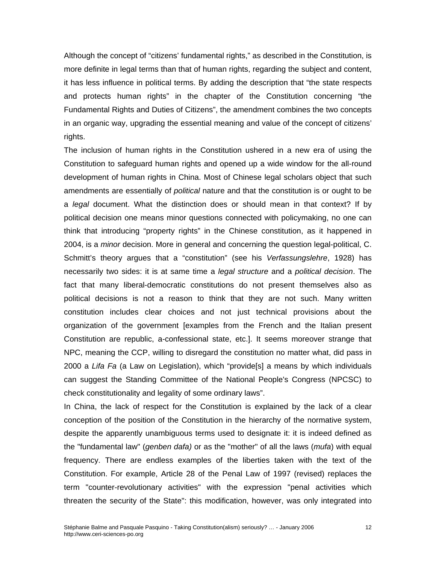Although the concept of "citizens' fundamental rights," as described in the Constitution, is more definite in legal terms than that of human rights, regarding the subject and content, it has less influence in political terms. By adding the description that "the state respects and protects human rights" in the chapter of the Constitution concerning "the Fundamental Rights and Duties of Citizens", the amendment combines the two concepts in an organic way, upgrading the essential meaning and value of the concept of citizens' rights.

The inclusion of human rights in the Constitution ushered in a new era of using the Constitution to safeguard human rights and opened up a wide window for the all-round development of human rights in China. Most of Chinese legal scholars object that such amendments are essentially of *political* nature and that the constitution is or ought to be a *legal* document. What the distinction does or should mean in that context? If by political decision one means minor questions connected with policymaking, no one can think that introducing "property rights" in the Chinese constitution, as it happened in 2004, is a *minor* decision. More in general and concerning the question legal-political, C. Schmitt's theory argues that a "constitution" (see his *Verfassungslehre*, 1928) has necessarily two sides: it is at same time a *legal structure* and a *political decision*. The fact that many liberal-democratic constitutions do not present themselves also as political decisions is not a reason to think that they are not such. Many written constitution includes clear choices and not just technical provisions about the organization of the government [examples from the French and the Italian present Constitution are republic, a-confessional state, etc.]. It seems moreover strange that NPC, meaning the CCP, willing to disregard the constitution no matter what, did pass in 2000 a *Lifa Fa* (a Law on Legislation), which "provide[s] a means by which individuals can suggest the Standing Committee of the National People's Congress (NPCSC) to check constitutionality and legality of some ordinary laws".

In China, the lack of respect for the Constitution is explained by the lack of a clear conception of the position of the Constitution in the hierarchy of the normative system, despite the apparently unambiguous terms used to designate it: it is indeed defined as the "fundamental law" (*genben dafa)* or as the "mother" of all the laws (*mufa*) with equal frequency. There are endless examples of the liberties taken with the text of the Constitution. For example, Article 28 of the Penal Law of 1997 (revised) replaces the term "counter-revolutionary activities" with the expression "penal activities which threaten the security of the State": this modification, however, was only integrated into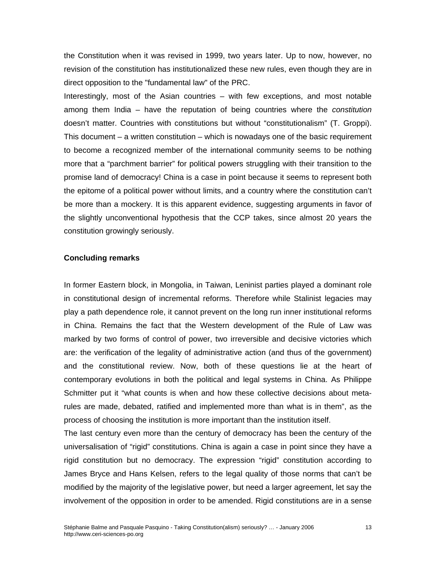the Constitution when it was revised in 1999, two years later. Up to now, however, no revision of the constitution has institutionalized these new rules, even though they are in direct opposition to the "fundamental law" of the PRC.

Interestingly, most of the Asian countries – with few exceptions, and most notable among them India – have the reputation of being countries where the *constitution* doesn't matter. Countries with constitutions but without "constitutionalism" (T. Groppi). This document – a written constitution – which is nowadays one of the basic requirement to become a recognized member of the international community seems to be nothing more that a "parchment barrier" for political powers struggling with their transition to the promise land of democracy! China is a case in point because it seems to represent both the epitome of a political power without limits, and a country where the constitution can't be more than a mockery. It is this apparent evidence, suggesting arguments in favor of the slightly unconventional hypothesis that the CCP takes, since almost 20 years the constitution growingly seriously.

### **Concluding remarks**

In former Eastern block, in Mongolia, in Taiwan, Leninist parties played a dominant role in constitutional design of incremental reforms. Therefore while Stalinist legacies may play a path dependence role, it cannot prevent on the long run inner institutional reforms in China. Remains the fact that the Western development of the Rule of Law was marked by two forms of control of power, two irreversible and decisive victories which are: the verification of the legality of administrative action (and thus of the government) and the constitutional review. Now, both of these questions lie at the heart of contemporary evolutions in both the political and legal systems in China. As Philippe Schmitter put it "what counts is when and how these collective decisions about metarules are made, debated, ratified and implemented more than what is in them", as the process of choosing the institution is more important than the institution itself.

The last century even more than the century of democracy has been the century of the universalisation of "rigid" constitutions. China is again a case in point since they have a rigid constitution but no democracy. The expression "rigid" constitution according to James Bryce and Hans Kelsen, refers to the legal quality of those norms that can't be modified by the majority of the legislative power, but need a larger agreement, let say the involvement of the opposition in order to be amended. Rigid constitutions are in a sense